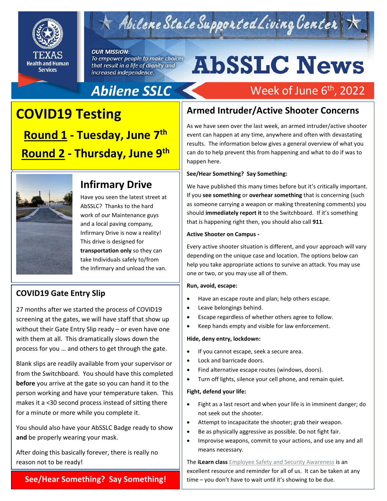

## Abilene State Supported Living Center

#### **OUR MISSION:**

To empower people to make choices that result in a life of dignity and increased independence.

# **AbSSLC News**

Week of June 6<sup>th</sup>, 2022

## Abilene SSLC

## **Round 1 - T COVID19 Testing Round 1 - Tuesday, June 7 th Round 2 - Thursday, June 9 th**



.

## **Infirmary Drive**

Have you seen the latest street at AbSSLC? Thanks to the hard work of our Maintenance guys and a local paving company, Infirmary Drive is now a reality! This drive is designed for **transportation only** so they can take Individuals safely to/from the Infirmary and unload the van.

## **COVID19 Gate Entry Slip**

27 months after we started the process of COVID19 screening at the gates, we will have staff that show up without their Gate Entry Slip ready – or even have one with them at all. This dramatically slows down the process for you … and others to get through the gate.

Blank slips are readily available from your supervisor or from the Switchboard. You should have this completed **before** you arrive at the gate so you can hand it to the person working and have your temperature taken. This makes it a <30 second process instead of sitting there for a minute or more while you complete it.

You should also have your AbSSLC Badge ready to show **and** be properly wearing your mask.

After doing this basically forever, there is really no reason not to be ready!

#### **See/Hear Something? Say Something!**

## **Armed Intruder/Active Shooter Concerns**

As we have seen over the last week, an armed intruder/active shooter event can happen at any time, anywhere and often with devastating results. The information below gives a general overview of what you can do to help prevent this from happening and what to do if was to happen here.

#### **See/Hear Something? Say Something:**

We have published this many times before but it's critically important. If you **see something** or **overhear something** that is concerning (such as someone carrying a weapon or making threatening comments) you should **immediately report it** to the Switchboard. If it's something that is happening right then, you should also call **911**.

#### **Active Shooter on Campus -**

Every active shooter situation is different, and your approach will vary<br>depending on the unique case and location. The ontions helow can depending on the unique case and location. The options below can help you take appropriate actions to survive an attack. You may use one or two, or you may use all of them.

#### **Run, avoid, escape:**

- Have an escape route and plan; help others escape.
- Leave belongings behind.
- Escape regardless of whether others agree to follow.
- Keep hands empty and visible for law enforcement.

#### **Hide, deny entry, lockdown:**

- If you cannot escape, seek a secure area.
- Lock and barricade doors.
- Find alternative escape routes (windows, doors).
- Turn off lights, silence your cell phone, and remain quiet.

#### **Fight, defend your life:**

- Fight as a last resort and when your life is in imminent danger; do not seek out the shooter.
- Attempt to incapacitate the shooter; grab their weapon.
- Be as physically aggressive as possible. Do not fight fair.
- Improvise weapons, commit to your actions, and use any and all means necessary.

The **iLearn class** [Employee Safety and Security Awareness](https://hhsc4-sav-prod2.hhsc.txnet.state.tx.us/BusinessApps/cbt/Enterprise/HHSC/ESA0100_SafetyandSecurityAwareness/index.html) is an excellent resource and reminder for all of us. It can be taken at any time – you don't have to wait until it's showing to be due.